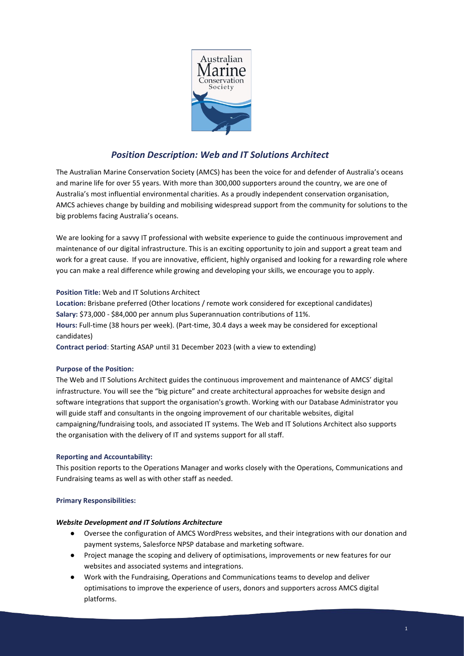

# *Position Description: Web and IT Solutions Architect*

The Australian Marine Conservation Society (AMCS) has been the voice for and defender of Australia's oceans and marine life for over 55 years. With more than 300,000 supporters around the country, we are one of Australia's most influential environmental charities. As a proudly independent conservation organisation, AMCS achieves change by building and mobilising widespread support from the community for solutions to the big problems facing Australia's oceans.

We are looking for a savvy IT professional with website experience to guide the continuous improvement and maintenance of our digital infrastructure. This is an exciting opportunity to join and support a great team and work for a great cause. If you are innovative, efficient, highly organised and looking for a rewarding role where you can make a real difference while growing and developing your skills, we encourage you to apply.

# **Position Title:** Web and IT Solutions Architect

**Location:** Brisbane preferred (Other locations / remote work considered for exceptional candidates) **Salary:** \$73,000 - \$84,000 per annum plus Superannuation contributions of 11%. **Hours:** Full-time (38 hours per week). (Part-time, 30.4 days a week may be considered for exceptional candidates) **Contract period**: Starting ASAP until 31 December 2023 (with a view to extending)

# **Purpose of the Position:**

The Web and IT Solutions Architect guides the continuous improvement and maintenance of AMCS' digital infrastructure. You will see the "big picture" and create architectural approaches for website design and software integrations that support the organisation's growth. Working with our Database Administrator you will guide staff and consultants in the ongoing improvement of our charitable websites, digital campaigning/fundraising tools, and associated IT systems. The Web and IT Solutions Architect also supports the organisation with the delivery of IT and systems support for all staff.

#### **Reporting and Accountability:**

This position reports to the Operations Manager and works closely with the Operations, Communications and Fundraising teams as well as with other staff as needed.

# **Primary Responsibilities:**

#### *Website Development and IT Solutions Architecture*

- Oversee the configuration of AMCS WordPress websites, and their integrations with our donation and payment systems, Salesforce NPSP database and marketing software.
- Project manage the scoping and delivery of optimisations, improvements or new features for our websites and associated systems and integrations.
- Work with the Fundraising, Operations and Communications teams to develop and deliver optimisations to improve the experience of users, donors and supporters across AMCS digital platforms.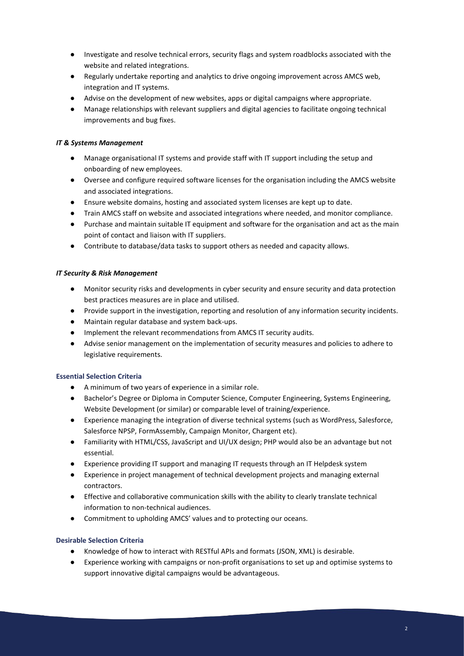- Investigate and resolve technical errors, security flags and system roadblocks associated with the website and related integrations.
- Regularly undertake reporting and analytics to drive ongoing improvement across AMCS web, integration and IT systems.
- Advise on the development of new websites, apps or digital campaigns where appropriate.
- Manage relationships with relevant suppliers and digital agencies to facilitate ongoing technical improvements and bug fixes.

## *IT & Systems Management*

- Manage organisational IT systems and provide staff with IT support including the setup and onboarding of new employees.
- Oversee and configure required software licenses for the organisation including the AMCS website and associated integrations.
- Ensure website domains, hosting and associated system licenses are kept up to date.
- Train AMCS staff on website and associated integrations where needed, and monitor compliance.
- Purchase and maintain suitable IT equipment and software for the organisation and act as the main point of contact and liaison with IT suppliers.
- Contribute to database/data tasks to support others as needed and capacity allows.

## *IT Security & Risk Management*

- Monitor security risks and developments in cyber security and ensure security and data protection best practices measures are in place and utilised.
- Provide support in the investigation, reporting and resolution of any information security incidents.
- Maintain regular database and system back-ups.
- Implement the relevant recommendations from AMCS IT security audits.
- Advise senior management on the implementation of security measures and policies to adhere to legislative requirements.

#### **Essential Selection Criteria**

- A minimum of two years of experience in a similar role.
- Bachelor's Degree or Diploma in Computer Science, Computer Engineering, Systems Engineering, Website Development (or similar) or comparable level of training/experience.
- Experience managing the integration of diverse technical systems (such as WordPress, Salesforce, Salesforce NPSP, FormAssembly, Campaign Monitor, Chargent etc).
- Familiarity with HTML/CSS, JavaScript and UI/UX design; PHP would also be an advantage but not essential.
- Experience providing IT support and managing IT requests through an IT Helpdesk system
- Experience in project management of technical development projects and managing external contractors.
- Effective and collaborative communication skills with the ability to clearly translate technical information to non-technical audiences.
- Commitment to upholding AMCS' values and to protecting our oceans.

# **Desirable Selection Criteria**

- Knowledge of how to interact with RESTful APIs and formats (JSON, XML) is desirable.
- Experience working with campaigns or non-profit organisations to set up and optimise systems to support innovative digital campaigns would be advantageous.